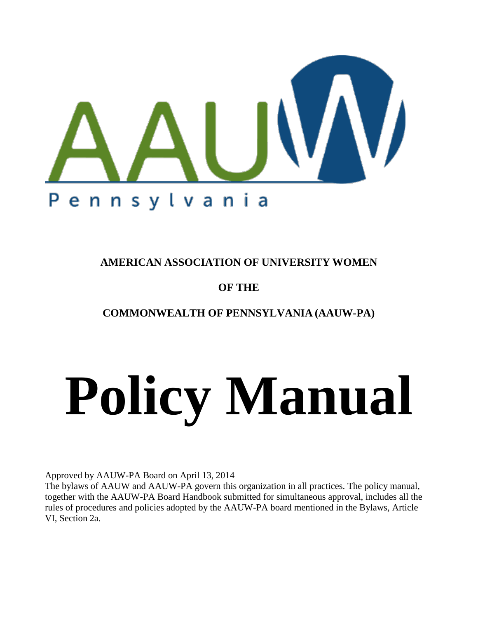

**AMERICAN ASSOCIATION OF UNIVERSITY WOMEN** 

# **OF THE**

**COMMONWEALTH OF PENNSYLVANIA (AAUW-PA)**

# **Policy Manual**

Approved by AAUW-PA Board on April 13, 2014

The bylaws of AAUW and AAUW-PA govern this organization in all practices. The policy manual, together with the AAUW-PA Board Handbook submitted for simultaneous approval, includes all the rules of procedures and policies adopted by the AAUW-PA board mentioned in the Bylaws, Article VI, Section 2a.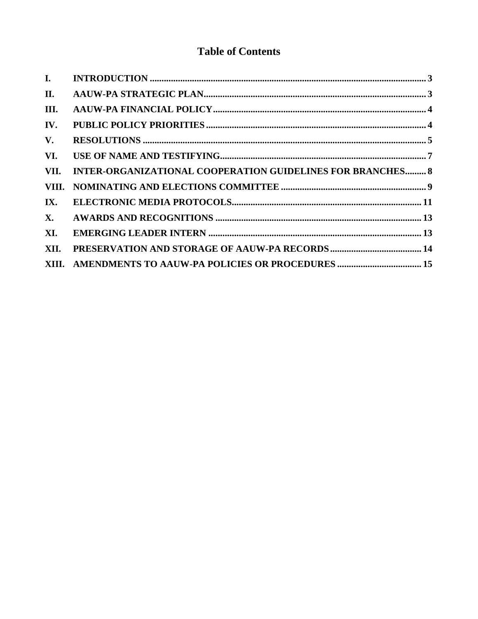# **Table of Contents**

| I.        |                                                                   |  |
|-----------|-------------------------------------------------------------------|--|
| II.       |                                                                   |  |
| III.      |                                                                   |  |
| IV.       |                                                                   |  |
| V.        |                                                                   |  |
| VI.       |                                                                   |  |
| VII.      | <b>INTER-ORGANIZATIONAL COOPERATION GUIDELINES FOR BRANCHES 8</b> |  |
|           |                                                                   |  |
| IX.       |                                                                   |  |
| <b>X.</b> |                                                                   |  |
| XI.       |                                                                   |  |
| XII.      |                                                                   |  |
|           |                                                                   |  |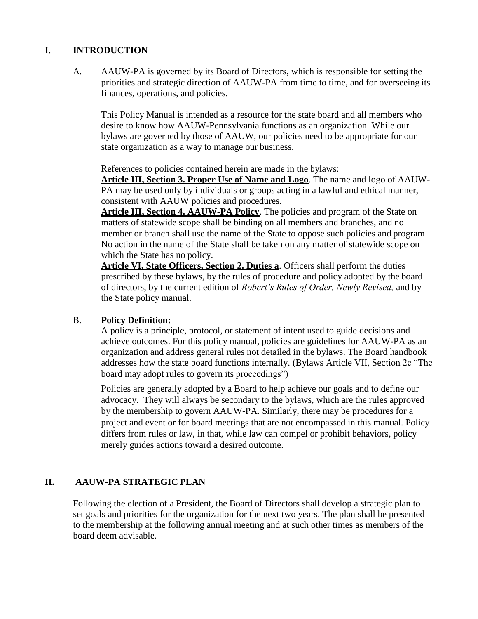# <span id="page-2-0"></span>**I. INTRODUCTION**

A. AAUW-PA is governed by its Board of Directors, which is responsible for setting the priorities and strategic direction of AAUW-PA from time to time, and for overseeing its finances, operations, and policies.

This Policy Manual is intended as a resource for the state board and all members who desire to know how AAUW-Pennsylvania functions as an organization. While our bylaws are governed by those of AAUW, our policies need to be appropriate for our state organization as a way to manage our business.

References to policies contained herein are made in the bylaws:

**Article III, Section 3. Proper Use of Name and Logo**. The name and logo of AAUW-PA may be used only by individuals or groups acting in a lawful and ethical manner, consistent with AAUW policies and procedures.

**Article III, Section 4. AAUW-PA Policy**. The policies and program of the State on matters of statewide scope shall be binding on all members and branches, and no member or branch shall use the name of the State to oppose such policies and program. No action in the name of the State shall be taken on any matter of statewide scope on which the State has no policy.

**Article VI, State Officers, Section 2. Duties a**. Officers shall perform the duties prescribed by these bylaws, by the rules of procedure and policy adopted by the board of directors, by the current edition of *Robert's Rules of Order, Newly Revised,* and by the State policy manual.

### B. **Policy Definition:**

A policy is a principle, protocol, or statement of intent used to guide decisions and achieve outcomes. For this policy manual, policies are guidelines for AAUW-PA as an organization and address general rules not detailed in the bylaws. The Board handbook addresses how the state board functions internally. (Bylaws Article VII, Section 2c "The board may adopt rules to govern its proceedings")

Policies are generally adopted by a Board to help achieve our goals and to define our advocacy. They will always be secondary to the bylaws, which are the rules approved by the membership to govern AAUW-PA. Similarly, there may be procedures for a project and event or for board meetings that are not encompassed in this manual. Policy differs from rules or law, in that, while law can compel or prohibit behaviors, policy merely guides actions toward a desired outcome.

# <span id="page-2-1"></span>**II. AAUW-PA STRATEGIC PLAN**

Following the election of a President, the Board of Directors shall develop a strategic plan to set goals and priorities for the organization for the next two years. The plan shall be presented to the membership at the following annual meeting and at such other times as members of the board deem advisable.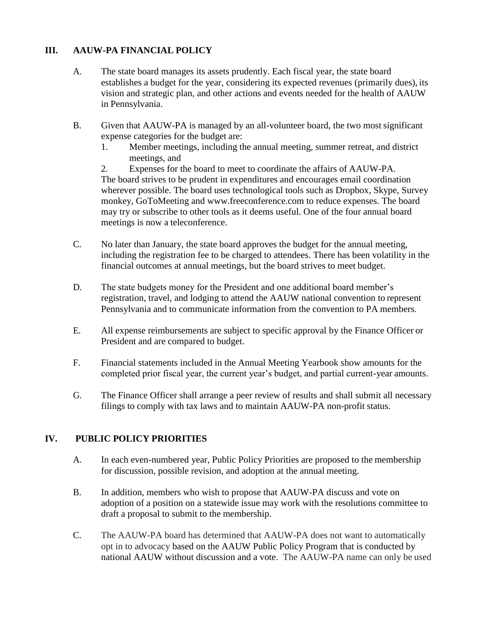# <span id="page-3-0"></span>**III. AAUW-PA FINANCIAL POLICY**

- A. The state board manages its assets prudently. Each fiscal year, the state board establishes a budget for the year, considering its expected revenues (primarily dues), its vision and strategic plan, and other actions and events needed for the health of AAUW in Pennsylvania.
- B. Given that AAUW-PA is managed by an all-volunteer board, the two most significant expense categories for the budget are:
	- 1. Member meetings, including the annual meeting, summer retreat, and district meetings, and

2. Expenses for the board to meet to coordinate the affairs of AAUW-PA. The board strives to be prudent in expenditures and encourages email coordination wherever possible. The board uses technological tools such as Dropbox, Skype, Survey monkey, GoToMeeting and [www.freeconference.com](http://www.freeconference.com/) to reduce expenses. The board may try or subscribe to other tools as it deems useful. One of the four annual board meetings is now a teleconference.

- C. No later than January, the state board approves the budget for the annual meeting, including the registration fee to be charged to attendees. There has been volatility in the financial outcomes at annual meetings, but the board strives to meet budget.
- D. The state budgets money for the President and one additional board member's registration, travel, and lodging to attend the AAUW national convention to represent Pennsylvania and to communicate information from the convention to PA members.
- E. All expense reimbursements are subject to specific approval by the Finance Officer or President and are compared to budget.
- F. Financial statements included in the Annual Meeting Yearbook show amounts for the completed prior fiscal year, the current year's budget, and partial current-year amounts.
- G. The Finance Officer shall arrange a peer review of results and shall submit all necessary filings to comply with tax laws and to maintain AAUW-PA non-profit status.

# <span id="page-3-1"></span>**IV. PUBLIC POLICY PRIORITIES**

- A. In each even-numbered year, Public Policy Priorities are proposed to the membership for discussion, possible revision, and adoption at the annual meeting.
- B. In addition, members who wish to propose that AAUW-PA discuss and vote on adoption of a position on a statewide issue may work with the resolutions committee to draft a proposal to submit to the membership.
- C. The AAUW-PA board has determined that AAUW-PA does not want to automatically opt in to advocacy based on the AAUW Public Policy Program that is conducted by national AAUW without discussion and a vote. The AAUW-PA name can only be used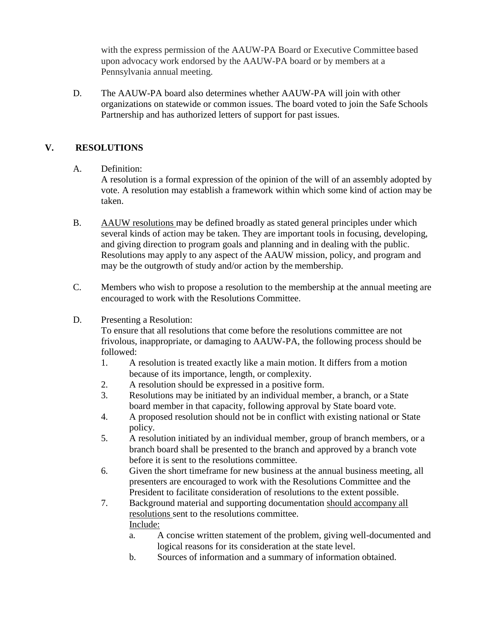with the express permission of the AAUW-PA Board or Executive Committee based upon advocacy work endorsed by the AAUW-PA board or by members at a Pennsylvania annual meeting.

D. The AAUW-PA board also determines whether AAUW-PA will join with other organizations on statewide or common issues. The board voted to join the Safe Schools Partnership and has authorized letters of support for past issues.

# <span id="page-4-0"></span>**V. RESOLUTIONS**

#### A. Definition:

A resolution is a formal expression of the opinion of the will of an assembly adopted by vote. A resolution may establish a framework within which some kind of action may be taken.

- B. AAUW resolutions may be defined broadly as stated general principles under which several kinds of action may be taken. They are important tools in focusing, developing, and giving direction to program goals and planning and in dealing with the public. Resolutions may apply to any aspect of the AAUW mission, policy, and program and may be the outgrowth of study and/or action by the membership.
- C. Members who wish to propose a resolution to the membership at the annual meeting are encouraged to work with the Resolutions Committee.
- D. Presenting a Resolution:

To ensure that all resolutions that come before the resolutions committee are not frivolous, inappropriate, or damaging to AAUW-PA, the following process should be followed:

- 1. A resolution is treated exactly like a main motion. It differs from a motion because of its importance, length, or complexity.
- 2. A resolution should be expressed in a positive form.
- 3. Resolutions may be initiated by an individual member, a branch, or a State board member in that capacity, following approval by State board vote.
- 4. A proposed resolution should not be in conflict with existing national or State policy.
- 5. A resolution initiated by an individual member, group of branch members, or a branch board shall be presented to the branch and approved by a branch vote before it is sent to the resolutions committee.
- 6. Given the short timeframe for new business at the annual business meeting, all presenters are encouraged to work with the Resolutions Committee and the President to facilitate consideration of resolutions to the extent possible.
- 7. Background material and supporting documentation should accompany all resolutions sent to the resolutions committee. Include:
	- a. A concise written statement of the problem, giving well-documented and logical reasons for its consideration at the state level.
	- b. Sources of information and a summary of information obtained.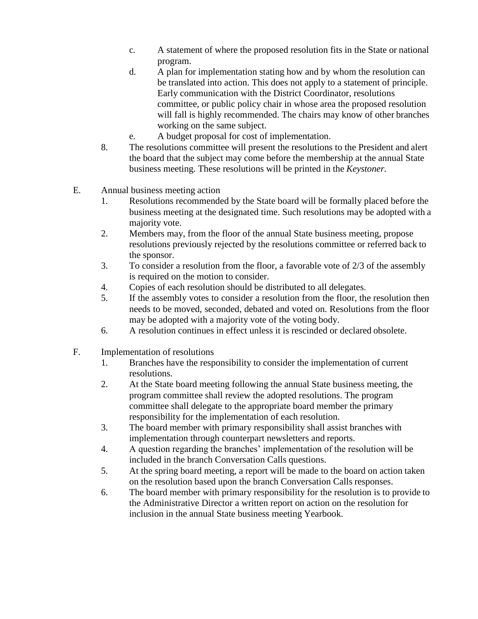- c. A statement of where the proposed resolution fits in the State or national program.
- d. A plan for implementation stating how and by whom the resolution can be translated into action. This does not apply to a statement of principle. Early communication with the District Coordinator, resolutions committee, or public policy chair in whose area the proposed resolution will fall is highly recommended. The chairs may know of other branches working on the same subject.
- e. A budget proposal for cost of implementation.
- 8. The resolutions committee will present the resolutions to the President and alert the board that the subject may come before the membership at the annual State business meeting. These resolutions will be printed in the *Keystoner.*
- E. Annual business meeting action
	- 1. Resolutions recommended by the State board will be formally placed before the business meeting at the designated time. Such resolutions may be adopted with a majority vote.
	- 2. Members may, from the floor of the annual State business meeting, propose resolutions previously rejected by the resolutions committee or referred back to the sponsor.
	- 3. To consider a resolution from the floor, a favorable vote of 2/3 of the assembly is required on the motion to consider.
	- 4. Copies of each resolution should be distributed to all delegates.
	- 5. If the assembly votes to consider a resolution from the floor, the resolution then needs to be moved, seconded, debated and voted on. Resolutions from the floor may be adopted with a majority vote of the voting body.
	- 6. A resolution continues in effect unless it is rescinded or declared obsolete.
- F. Implementation of resolutions
	- 1. Branches have the responsibility to consider the implementation of current resolutions.
	- 2. At the State board meeting following the annual State business meeting, the program committee shall review the adopted resolutions. The program committee shall delegate to the appropriate board member the primary responsibility for the implementation of each resolution.
	- 3. The board member with primary responsibility shall assist branches with implementation through counterpart newsletters and reports.
	- 4. A question regarding the branches' implementation of the resolution will be included in the branch Conversation Calls questions.
	- 5. At the spring board meeting, a report will be made to the board on action taken on the resolution based upon the branch Conversation Calls responses.
	- 6. The board member with primary responsibility for the resolution is to provide to the Administrative Director a written report on action on the resolution for inclusion in the annual State business meeting Yearbook.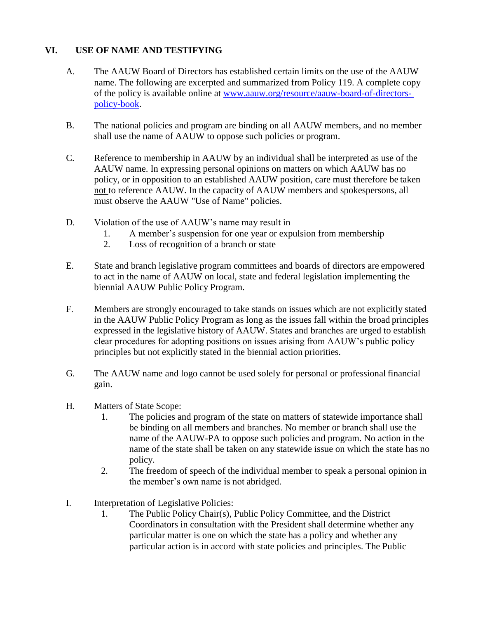## <span id="page-6-0"></span>**VI. USE OF NAME AND TESTIFYING**

- A. The AAUW Board of Directors has established certain limits on the use of the AAUW name. The following are excerpted and summarized from Policy 119. A complete copy of the policy is available online at [www.aauw.org/resource/aauw-board-of-directors](http://www.aauw.org/resource/aauw-board-of-directors-policy-book)[policy-book.](http://www.aauw.org/resource/aauw-board-of-directors-policy-book)
- B. The national policies and program are binding on all AAUW members, and no member shall use the name of AAUW to oppose such policies or program.
- C. Reference to membership in AAUW by an individual shall be interpreted as use of the AAUW name. In expressing personal opinions on matters on which AAUW has no policy, or in opposition to an established AAUW position, care must therefore be taken not to reference AAUW. In the capacity of AAUW members and spokespersons, all must observe the AAUW "Use of Name" policies.
- D. Violation of the use of AAUW's name may result in
	- 1. A member's suspension for one year or expulsion from membership
	- 2. Loss of recognition of a branch or state
- E. State and branch legislative program committees and boards of directors are empowered to act in the name of AAUW on local, state and federal legislation implementing the biennial AAUW Public Policy Program.
- F. Members are strongly encouraged to take stands on issues which are not explicitly stated in the AAUW Public Policy Program as long as the issues fall within the broad principles expressed in the legislative history of AAUW. States and branches are urged to establish clear procedures for adopting positions on issues arising from AAUW's public policy principles but not explicitly stated in the biennial action priorities.
- G. The AAUW name and logo cannot be used solely for personal or professional financial gain.
- H. Matters of State Scope:
	- 1. The policies and program of the state on matters of statewide importance shall be binding on all members and branches. No member or branch shall use the name of the AAUW-PA to oppose such policies and program. No action in the name of the state shall be taken on any statewide issue on which the state has no policy.
	- 2. The freedom of speech of the individual member to speak a personal opinion in the member's own name is not abridged.
- I. Interpretation of Legislative Policies:
	- 1. The Public Policy Chair(s), Public Policy Committee, and the District Coordinators in consultation with the President shall determine whether any particular matter is one on which the state has a policy and whether any particular action is in accord with state policies and principles. The Public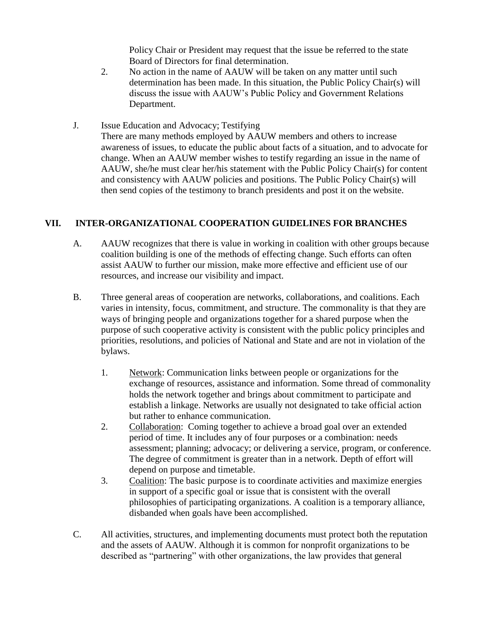Policy Chair or President may request that the issue be referred to the state Board of Directors for final determination.

- 2. No action in the name of AAUW will be taken on any matter until such determination has been made. In this situation, the Public Policy Chair(s) will discuss the issue with AAUW's Public Policy and Government Relations Department.
- J. Issue Education and Advocacy; Testifying There are many methods employed by AAUW members and others to increase awareness of issues, to educate the public about facts of a situation, and to advocate for change. When an AAUW member wishes to testify regarding an issue in the name of AAUW, she/he must clear her/his statement with the Public Policy Chair(s) for content and consistency with AAUW policies and positions. The Public Policy Chair(s) will then send copies of the testimony to branch presidents and post it on the website.

# <span id="page-7-0"></span>**VII. INTER-ORGANIZATIONAL COOPERATION GUIDELINES FOR BRANCHES**

- A. AAUW recognizes that there is value in working in coalition with other groups because coalition building is one of the methods of effecting change. Such efforts can often assist AAUW to further our mission, make more effective and efficient use of our resources, and increase our visibility and impact.
- B. Three general areas of cooperation are networks, collaborations, and coalitions. Each varies in intensity, focus, commitment, and structure. The commonality is that they are ways of bringing people and organizations together for a shared purpose when the purpose of such cooperative activity is consistent with the public policy principles and priorities, resolutions, and policies of National and State and are not in violation of the bylaws.
	- 1. Network: Communication links between people or organizations for the exchange of resources, assistance and information. Some thread of commonality holds the network together and brings about commitment to participate and establish a linkage. Networks are usually not designated to take official action but rather to enhance communication.
	- 2. Collaboration: Coming together to achieve a broad goal over an extended period of time. It includes any of four purposes or a combination: needs assessment; planning; advocacy; or delivering a service, program, or conference. The degree of commitment is greater than in a network. Depth of effort will depend on purpose and timetable.
	- 3. Coalition: The basic purpose is to coordinate activities and maximize energies in support of a specific goal or issue that is consistent with the overall philosophies of participating organizations. A coalition is a temporary alliance, disbanded when goals have been accomplished.
- C. All activities, structures, and implementing documents must protect both the reputation and the assets of AAUW. Although it is common for nonprofit organizations to be described as "partnering" with other organizations, the law provides that general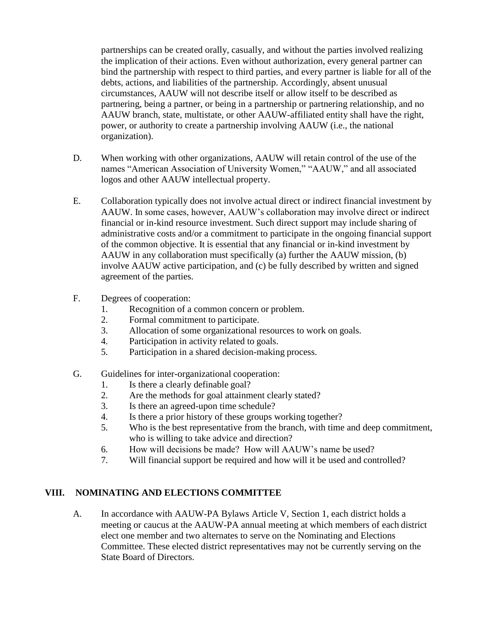partnerships can be created orally, casually, and without the parties involved realizing the implication of their actions. Even without authorization, every general partner can bind the partnership with respect to third parties, and every partner is liable for all of the debts, actions, and liabilities of the partnership. Accordingly, absent unusual circumstances, AAUW will not describe itself or allow itself to be described as partnering, being a partner, or being in a partnership or partnering relationship, and no AAUW branch, state, multistate, or other AAUW-affiliated entity shall have the right, power, or authority to create a partnership involving AAUW (i.e., the national organization).

- D. When working with other organizations, AAUW will retain control of the use of the names "American Association of University Women," "AAUW," and all associated logos and other AAUW intellectual property.
- E. Collaboration typically does not involve actual direct or indirect financial investment by AAUW. In some cases, however, AAUW's collaboration may involve direct or indirect financial or in-kind resource investment. Such direct support may include sharing of administrative costs and/or a commitment to participate in the ongoing financial support of the common objective. It is essential that any financial or in-kind investment by AAUW in any collaboration must specifically (a) further the AAUW mission, (b) involve AAUW active participation, and (c) be fully described by written and signed agreement of the parties.
- F. Degrees of cooperation:
	- 1. Recognition of a common concern or problem.
	- 2. Formal commitment to participate.
	- 3. Allocation of some organizational resources to work on goals.
	- 4. Participation in activity related to goals.
	- 5. Participation in a shared decision-making process.
- G. Guidelines for inter-organizational cooperation:
	- 1. Is there a clearly definable goal?
	- 2. Are the methods for goal attainment clearly stated?
	- 3. Is there an agreed-upon time schedule?
	- 4. Is there a prior history of these groups working together?
	- 5. Who is the best representative from the branch, with time and deep commitment, who is willing to take advice and direction?
	- 6. How will decisions be made? How will AAUW's name be used?
	- 7. Will financial support be required and how will it be used and controlled?

### <span id="page-8-0"></span>**VIII. NOMINATING AND ELECTIONS COMMITTEE**

A. In accordance with AAUW-PA Bylaws Article V, Section 1, each district holds a meeting or caucus at the AAUW-PA annual meeting at which members of each district elect one member and two alternates to serve on the Nominating and Elections Committee. These elected district representatives may not be currently serving on the State Board of Directors.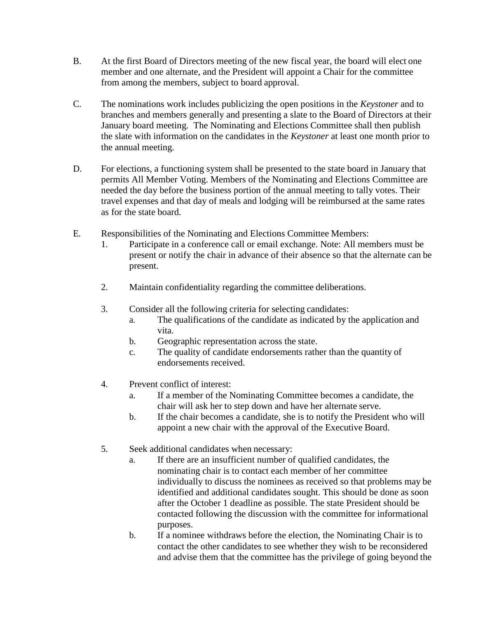- B. At the first Board of Directors meeting of the new fiscal year, the board will elect one member and one alternate, and the President will appoint a Chair for the committee from among the members, subject to board approval.
- C. The nominations work includes publicizing the open positions in the *Keystoner* and to branches and members generally and presenting a slate to the Board of Directors at their January board meeting. The Nominating and Elections Committee shall then publish the slate with information on the candidates in the *Keystoner* at least one month prior to the annual meeting.
- D. For elections, a functioning system shall be presented to the state board in January that permits All Member Voting. Members of the Nominating and Elections Committee are needed the day before the business portion of the annual meeting to tally votes. Their travel expenses and that day of meals and lodging will be reimbursed at the same rates as for the state board.
- E. Responsibilities of the Nominating and Elections Committee Members:
	- 1. Participate in a conference call or email exchange. Note: All members must be present or notify the chair in advance of their absence so that the alternate can be present.
	- 2. Maintain confidentiality regarding the committee deliberations.
	- 3. Consider all the following criteria for selecting candidates:
		- a. The qualifications of the candidate as indicated by the application and vita.
		- b. Geographic representation across the state.
		- c. The quality of candidate endorsements rather than the quantity of endorsements received.
	- 4. Prevent conflict of interest:
		- a. If a member of the Nominating Committee becomes a candidate, the chair will ask her to step down and have her alternate serve.
		- b. If the chair becomes a candidate, she is to notify the President who will appoint a new chair with the approval of the Executive Board.
	- 5. Seek additional candidates when necessary:
		- a. If there are an insufficient number of qualified candidates, the nominating chair is to contact each member of her committee individually to discuss the nominees as received so that problems may be identified and additional candidates sought. This should be done as soon after the October 1 deadline as possible. The state President should be contacted following the discussion with the committee for informational purposes.
		- b. If a nominee withdraws before the election, the Nominating Chair is to contact the other candidates to see whether they wish to be reconsidered and advise them that the committee has the privilege of going beyond the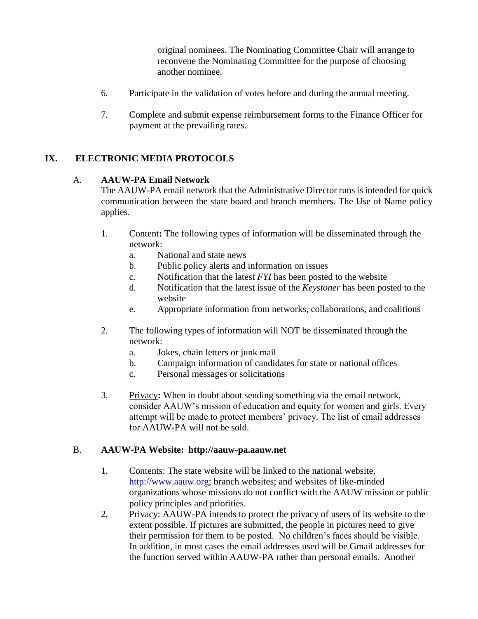original nominees. The Nominating Committee Chair will arrange to reconvene the Nominating Committee for the purpose of choosing another nominee.

- 6. Participate in the validation of votes before and during the annual meeting.
- 7. Complete and submit expense reimbursement forms to the Finance Officer for payment at the prevailing rates.

# <span id="page-10-0"></span>**IX. ELECTRONIC MEDIA PROTOCOLS**

### A. **AAUW-PA Email Network**

The AAUW-PA email network that the Administrative Director runs is intended for quick communication between the state board and branch members. The Use of Name policy applies.

- 1. Content**:** The following types of information will be disseminated through the network:
	- a. National and state news
	- b. Public policy alerts and information on issues
	- c. Notification that the latest *FYI* has been posted to the website
	- d. Notification that the latest issue of the *Keystoner* has been posted to the website
	- e. Appropriate information from networks, collaborations, and coalitions
- 2. The following types of information will NOT be disseminated through the network:
	- a. Jokes, chain letters or junk mail
	- b. Campaign information of candidates for state or national offices
	- c. Personal messages or solicitations
- 3. Privacy**:** When in doubt about sending something via the email network, consider AAUW's mission of education and equity for women and girls. Every attempt will be made to protect members' privacy. The list of email addresses for AAUW-PA will not be sold.

#### B. **AAUW-PA Website: [http://aauw-pa.aauw.net](http://aauw-pa.aauw.net/)**

- 1. Contents: The state website will be linked to the national website, http://www.aauw.org; branch websites; and websites of like-minded organizations whose missions do not conflict with the AAUW mission or public policy principles and priorities.
- 2. Privacy: AAUW-PA intends to protect the privacy of users of its website to the extent possible. If pictures are submitted, the people in pictures need to give their permission for them to be posted. No children's faces should be visible. In addition, in most cases the email addresses used will be Gmail addresses for the function served within AAUW-PA rather than personal emails. Another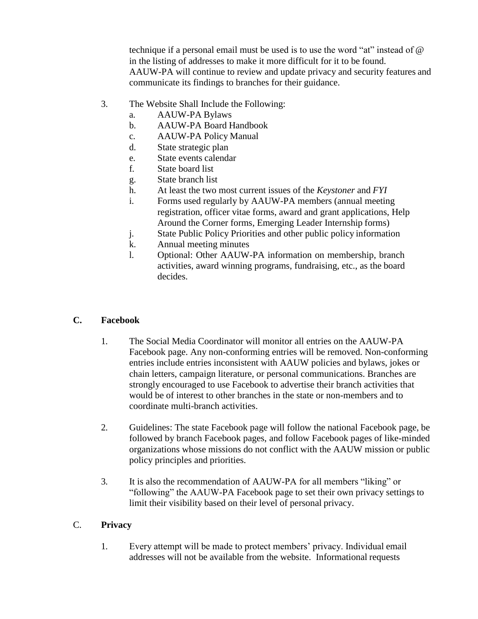technique if a personal email must be used is to use the word "at" instead of @ in the listing of addresses to make it more difficult for it to be found. AAUW-PA will continue to review and update privacy and security features and communicate its findings to branches for their guidance.

- 3. The Website Shall Include the Following:
	- a. AAUW-PA Bylaws
	- b. AAUW-PA Board Handbook
	- c. AAUW-PA Policy Manual
	- d. State strategic plan
	- e. State events calendar
	- f. State board list
	- g. State branch list
	- h. At least the two most current issues of the *Keystoner* and *FYI*
	- i. Forms used regularly by AAUW-PA members (annual meeting registration, officer vitae forms, award and grant applications, Help Around the Corner forms, Emerging Leader Internship forms)
	- j. State Public Policy Priorities and other public policy information
	- k. Annual meeting minutes
	- l. Optional: Other AAUW-PA information on membership, branch activities, award winning programs, fundraising, etc., as the board decides.

### **C. Facebook**

- 1. The Social Media Coordinator will monitor all entries on the AAUW-PA Facebook page. Any non-conforming entries will be removed. Non-conforming entries include entries inconsistent with AAUW policies and bylaws, jokes or chain letters, campaign literature, or personal communications. Branches are strongly encouraged to use Facebook to advertise their branch activities that would be of interest to other branches in the state or non-members and to coordinate multi-branch activities.
- 2. Guidelines: The state Facebook page will follow the national Facebook page, be followed by branch Facebook pages, and follow Facebook pages of like-minded organizations whose missions do not conflict with the AAUW mission or public policy principles and priorities.
- 3. It is also the recommendation of AAUW-PA for all members "liking" or "following" the AAUW-PA Facebook page to set their own privacy settings to limit their visibility based on their level of personal privacy.

### C. **Privacy**

1. Every attempt will be made to protect members' privacy. Individual email addresses will not be available from the website. Informational requests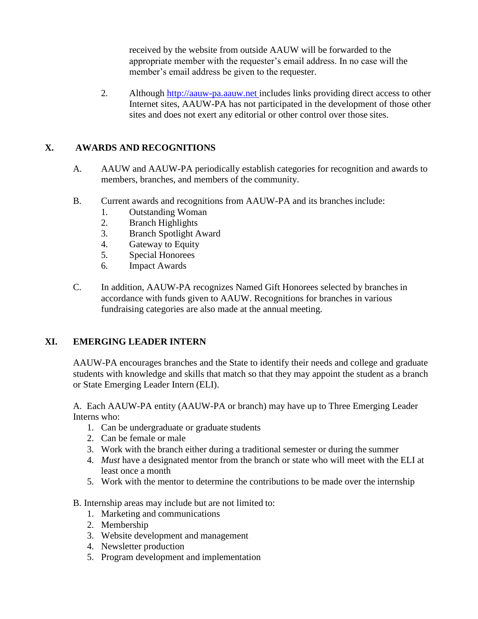received by the website from outside AAUW will be forwarded to the appropriate member with the requester's email address. In no case will the member's email address be given to the requester.

2. Although [http://aauw-pa.aauw.net i](http://aauw-pa.aauw.net/)ncludes links providing direct access to other Internet sites, AAUW-PA has not participated in the development of those other sites and does not exert any editorial or other control over those sites.

## <span id="page-12-0"></span>**X. AWARDS AND RECOGNITIONS**

- A. AAUW and AAUW-PA periodically establish categories for recognition and awards to members, branches, and members of the community.
- B. Current awards and recognitions from AAUW-PA and its branches include:
	- 1. Outstanding Woman
	- 2. Branch Highlights
	- 3. Branch Spotlight Award
	- 4. Gateway to Equity
	- 5. Special Honorees
	- 6. Impact Awards
- C. In addition, AAUW-PA recognizes Named Gift Honorees selected by branches in accordance with funds given to AAUW. Recognitions for branches in various fundraising categories are also made at the annual meeting.

### <span id="page-12-1"></span>**XI. EMERGING LEADER INTERN**

AAUW-PA encourages branches and the State to identify their needs and college and graduate students with knowledge and skills that match so that they may appoint the student as a branch or State Emerging Leader Intern (ELI).

A. Each AAUW-PA entity (AAUW-PA or branch) may have up to Three Emerging Leader Interns who:

- 1. Can be undergraduate or graduate students
- 2. Can be female or male
- 3. Work with the branch either during a traditional semester or during the summer
- 4. *Must* have a designated mentor from the branch or state who will meet with the ELI at least once a month
- 5. Work with the mentor to determine the contributions to be made over the internship
- B. Internship areas may include but are not limited to:
	- 1. Marketing and communications
	- 2. Membership
	- 3. Website development and management
	- 4. Newsletter production
	- 5. Program development and implementation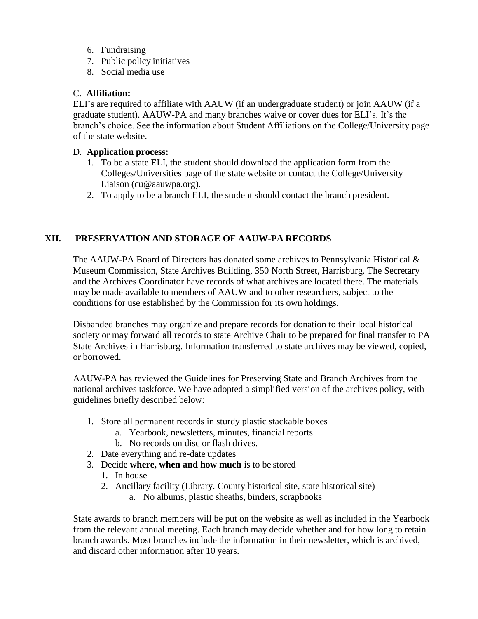- 6. Fundraising
- 7. Public policy initiatives
- 8. Social media use

#### C. **Affiliation:**

ELI's are required to affiliate with AAUW (if an undergraduate student) or join AAUW (if a graduate student). AAUW-PA and many branches waive or cover dues for ELI's. It's the branch's choice. See the information about Student Affiliations on the College/University page of the state website.

#### D. **Application process:**

- 1. To be a state ELI, the student should download the application form from the Colleges/Universities page of the state website or contact the College/University Liaison (cu@aauwpa.org).
- 2. To apply to be a branch ELI, the student should contact the branch president.

# <span id="page-13-0"></span>**XII. PRESERVATION AND STORAGE OF AAUW-PA RECORDS**

The AAUW-PA Board of Directors has donated some archives to Pennsylvania Historical  $\&$ Museum Commission, State Archives Building, 350 North Street, Harrisburg. The Secretary and the Archives Coordinator have records of what archives are located there. The materials may be made available to members of AAUW and to other researchers, subject to the conditions for use established by the Commission for its own holdings.

Disbanded branches may organize and prepare records for donation to their local historical society or may forward all records to state Archive Chair to be prepared for final transfer to PA State Archives in Harrisburg. Information transferred to state archives may be viewed, copied, or borrowed.

AAUW-PA has reviewed the Guidelines for Preserving State and Branch Archives from the national archives taskforce. We have adopted a simplified version of the archives policy, with guidelines briefly described below:

- 1. Store all permanent records in sturdy plastic stackable boxes
	- a. Yearbook, newsletters, minutes, financial reports
	- b. No records on disc or flash drives.
- 2. Date everything and re-date updates
- 3. Decide **where, when and how much** is to be stored
	- 1. In house
	- 2. Ancillary facility (Library. County historical site, state historical site)
		- a. No albums, plastic sheaths, binders, scrapbooks

State awards to branch members will be put on the website as well as included in the Yearbook from the relevant annual meeting. Each branch may decide whether and for how long to retain branch awards. Most branches include the information in their newsletter, which is archived, and discard other information after 10 years.